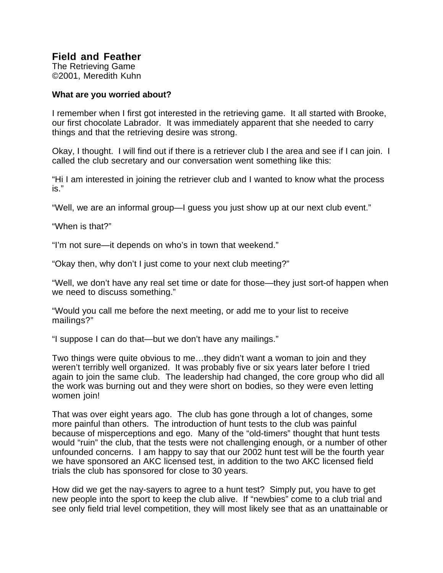## **Field and Feather**

The Retrieving Game ©2001, Meredith Kuhn

## **What are you worried about?**

I remember when I first got interested in the retrieving game. It all started with Brooke, our first chocolate Labrador. It was immediately apparent that she needed to carry things and that the retrieving desire was strong.

Okay, I thought. I will find out if there is a retriever club I the area and see if I can join. I called the club secretary and our conversation went something like this:

"Hi I am interested in joining the retriever club and I wanted to know what the process is."

"Well, we are an informal group—I guess you just show up at our next club event."

"When is that?"

"I'm not sure—it depends on who's in town that weekend."

"Okay then, why don't I just come to your next club meeting?"

"Well, we don't have any real set time or date for those—they just sort-of happen when we need to discuss something."

"Would you call me before the next meeting, or add me to your list to receive mailings?"

"I suppose I can do that—but we don't have any mailings."

Two things were quite obvious to me…they didn't want a woman to join and they weren't terribly well organized. It was probably five or six years later before I tried again to join the same club. The leadership had changed, the core group who did all the work was burning out and they were short on bodies, so they were even letting women join!

That was over eight years ago. The club has gone through a lot of changes, some more painful than others. The introduction of hunt tests to the club was painful because of misperceptions and ego. Many of the "old-timers" thought that hunt tests would "ruin" the club, that the tests were not challenging enough, or a number of other unfounded concerns. I am happy to say that our 2002 hunt test will be the fourth year we have sponsored an AKC licensed test, in addition to the two AKC licensed field trials the club has sponsored for close to 30 years.

How did we get the nay-sayers to agree to a hunt test? Simply put, you have to get new people into the sport to keep the club alive. If "newbies" come to a club trial and see only field trial level competition, they will most likely see that as an unattainable or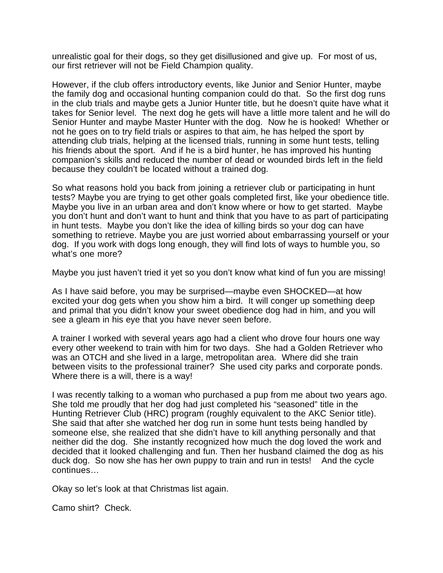unrealistic goal for their dogs, so they get disillusioned and give up. For most of us, our first retriever will not be Field Champion quality.

However, if the club offers introductory events, like Junior and Senior Hunter, maybe the family dog and occasional hunting companion could do that. So the first dog runs in the club trials and maybe gets a Junior Hunter title, but he doesn't quite have what it takes for Senior level. The next dog he gets will have a little more talent and he will do Senior Hunter and maybe Master Hunter with the dog. Now he is hooked! Whether or not he goes on to try field trials or aspires to that aim, he has helped the sport by attending club trials, helping at the licensed trials, running in some hunt tests, telling his friends about the sport. And if he is a bird hunter, he has improved his hunting companion's skills and reduced the number of dead or wounded birds left in the field because they couldn't be located without a trained dog.

So what reasons hold you back from joining a retriever club or participating in hunt tests? Maybe you are trying to get other goals completed first, like your obedience title. Maybe you live in an urban area and don't know where or how to get started. Maybe you don't hunt and don't want to hunt and think that you have to as part of participating in hunt tests. Maybe you don't like the idea of killing birds so your dog can have something to retrieve. Maybe you are just worried about embarrassing yourself or your dog. If you work with dogs long enough, they will find lots of ways to humble you, so what's one more?

Maybe you just haven't tried it yet so you don't know what kind of fun you are missing!

As I have said before, you may be surprised—maybe even SHOCKED—at how excited your dog gets when you show him a bird. It will conger up something deep and primal that you didn't know your sweet obedience dog had in him, and you will see a gleam in his eye that you have never seen before.

A trainer I worked with several years ago had a client who drove four hours one way every other weekend to train with him for two days. She had a Golden Retriever who was an OTCH and she lived in a large, metropolitan area. Where did she train between visits to the professional trainer? She used city parks and corporate ponds. Where there is a will, there is a way!

I was recently talking to a woman who purchased a pup from me about two years ago. She told me proudly that her dog had just completed his "seasoned" title in the Hunting Retriever Club (HRC) program (roughly equivalent to the AKC Senior title). She said that after she watched her dog run in some hunt tests being handled by someone else, she realized that she didn't have to kill anything personally and that neither did the dog. She instantly recognized how much the dog loved the work and decided that it looked challenging and fun. Then her husband claimed the dog as his duck dog. So now she has her own puppy to train and run in tests! And the cycle continues…

Okay so let's look at that Christmas list again.

Camo shirt? Check.